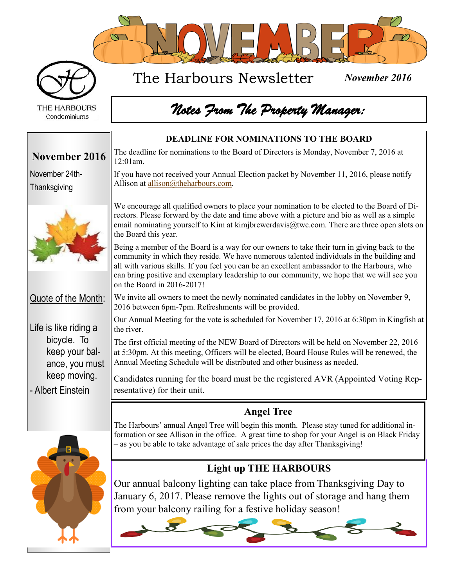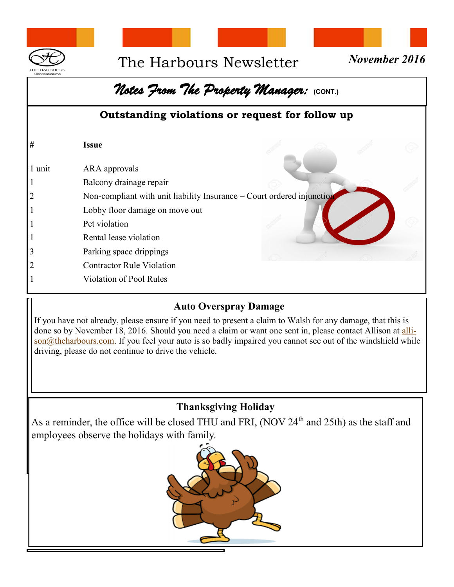

### The Harbours Newsletter *November 2016*



#### *Notes From The Property Manager:* **(CONT.)** **Outstanding violations or request for follow up # Issue** 1 unit ARA approvals 1 Balcony drainage repair 2 Non-compliant with unit liability Insurance – Cou[rt ordered injunction](http://www.google.com/url?sa=i&rct=j&q=&esrc=s&source=images&cd=&cad=rja&uact=8&ved=0ahUKEwjB5PGvr-HKAhXENSYKHX9kDLUQjRwIBw&url=http%3A%2F%2Fwww.123rf.com%2Fphoto_14767255_3d-people--human-character-in-warning-pose-with-do-not-symbol-3d-render-illustrati) 1 Lobby floor damage on move out 1 Pet violation 1 Rental lease violation 3 Parking space drippings 2 Contractor Rule Violation 1 Violation of Pool Rules

#### **Auto Overspray Damage**

If you have not already, please ensure if you need to present a claim to Walsh for any damage, that this is done so by November 18, 2016. Should you need a claim or want one sent in, please contact Allison at [alli](mailto:allison@theharbours.com)[son@theharbours.com.](mailto:allison@theharbours.com) If you feel your auto is so badly impaired you cannot see out of the windshield while driving, please do not continue to drive the vehicle.

#### **Thanksgiving Holiday**

As a reminder, the office will be closed THU and FRI, (NOV  $24<sup>th</sup>$  and  $25th$ ) as the staff and employees observe the holidays with family.

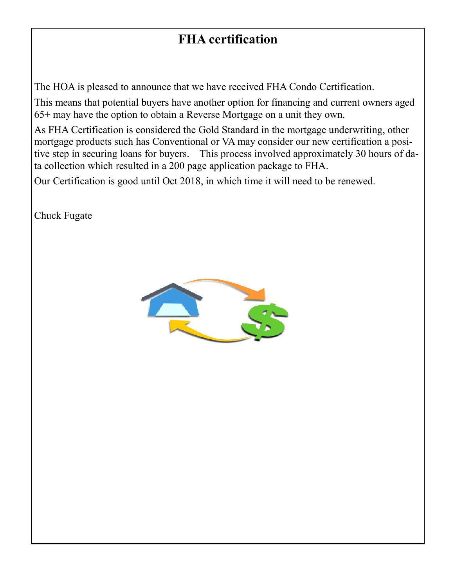#### **FHA certification**

The HOA is pleased to announce that we have received FHA Condo Certification.

This means that potential buyers have another option for financing and current owners aged 65+ may have the option to obtain a Reverse Mortgage on a unit they own.

As FHA Certification is considered the Gold Standard in the mortgage underwriting, other mortgage products such has Conventional or VA may consider our new certification a positive step in securing loans for buyers. This process involved approximately 30 hours of data collection which resulted in a 200 page application package to FHA.

Our Certification is good until Oct 2018, in which time it will need to be renewed.

Chuck Fugate

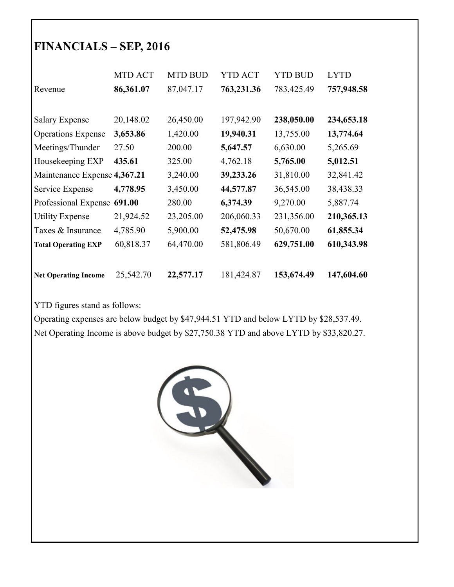#### **FINANCIALS – SEP, 2016**

|                              | <b>MTD ACT</b> | <b>MTD BUD</b> | <b>YTD ACT</b> | <b>YTD BUD</b> | <b>LYTD</b> |
|------------------------------|----------------|----------------|----------------|----------------|-------------|
| Revenue                      | 86,361.07      | 87,047.17      | 763,231.36     | 783,425.49     | 757,948.58  |
|                              |                |                |                |                |             |
| <b>Salary Expense</b>        | 20,148.02      | 26,450.00      | 197,942.90     | 238,050.00     | 234,653.18  |
| <b>Operations Expense</b>    | 3,653.86       | 1,420.00       | 19,940.31      | 13,755.00      | 13,774.64   |
| Meetings/Thunder             | 27.50          | 200.00         | 5,647.57       | 6,630.00       | 5,265.69    |
| Housekeeping EXP             | 435.61         | 325.00         | 4,762.18       | 5,765.00       | 5,012.51    |
| Maintenance Expense 4,367.21 |                | 3,240.00       | 39,233.26      | 31,810.00      | 32,841.42   |
| Service Expense              | 4,778.95       | 3,450.00       | 44,577.87      | 36,545.00      | 38,438.33   |
| Professional Expense 691.00  |                | 280.00         | 6,374.39       | 9,270.00       | 5,887.74    |
| <b>Utility Expense</b>       | 21,924.52      | 23,205.00      | 206,060.33     | 231,356.00     | 210,365.13  |
| Taxes & Insurance            | 4,785.90       | 5,900.00       | 52,475.98      | 50,670.00      | 61,855.34   |
| <b>Total Operating EXP</b>   | 60,818.37      | 64,470.00      | 581,806.49     | 629,751.00     | 610,343.98  |
|                              |                |                |                |                |             |
| <b>Net Operating Income</b>  | 25,542.70      | 22,577.17      | 181,424.87     | 153,674.49     | 147,604.60  |

YTD figures stand as follows:

Operating expenses are below budget by \$47,944.51 YTD and below LYTD by \$28,537.49. Net Operating Income is above budget by \$27,750.38 YTD and above LYTD by \$33,820.27.